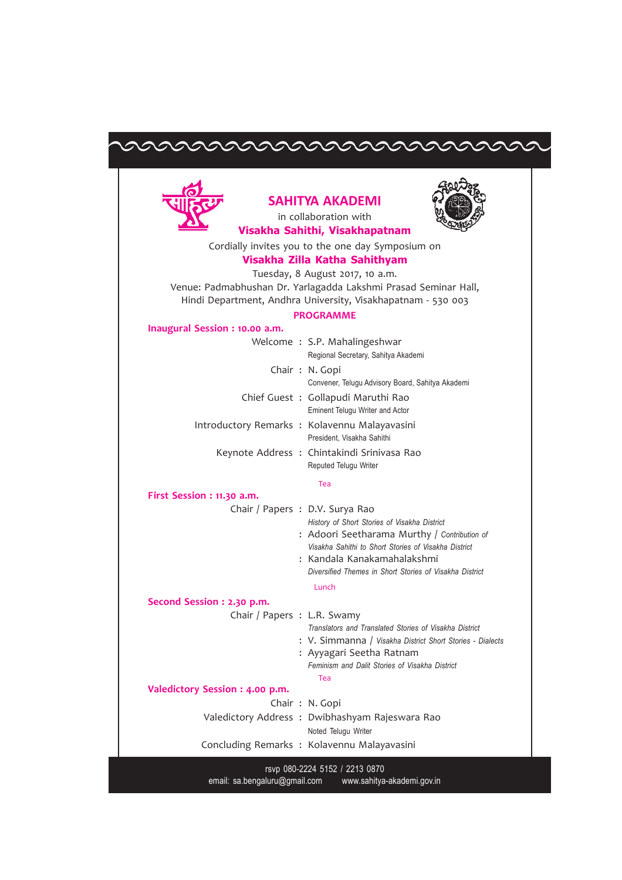## aaaae



## SAHITYA AKADEMI in collaboration with



Visakha Sahithi, Visakhapatnam

Cordially invites you to the one day Symposium on

## Visakha Zilla Katha Sahithyam

Tuesday, 8 August 2017, 10 a.m. Venue: Padmabhushan Dr. Yarlagadda Lakshmi Prasad Seminar Hall, Hindi Department, Andhra University, Visakhapatnam - 530 003

## PROGRAMME

| Inaugural Session : 10.00 a.m. |                                                                                                                                                                                                                                                                                   |
|--------------------------------|-----------------------------------------------------------------------------------------------------------------------------------------------------------------------------------------------------------------------------------------------------------------------------------|
|                                | Welcome: S.P. Mahalingeshwar<br>Regional Secretary, Sahitya Akademi                                                                                                                                                                                                               |
|                                | Chair: N. Gopi<br>Convener, Telugu Advisory Board, Sahitya Akademi                                                                                                                                                                                                                |
|                                | Chief Guest: Gollapudi Maruthi Rao<br><b>Eminent Telugu Writer and Actor</b>                                                                                                                                                                                                      |
|                                | Introductory Remarks : Kolavennu Malayavasini<br>President, Visakha Sahithi                                                                                                                                                                                                       |
|                                | Keynote Address: Chintakindi Srinivasa Rao<br>Reputed Telugu Writer                                                                                                                                                                                                               |
|                                | Tea                                                                                                                                                                                                                                                                               |
| First Session : 11.30 a.m.     |                                                                                                                                                                                                                                                                                   |
|                                | Chair / Papers : D.V. Surya Rao<br>History of Short Stories of Visakha District<br>: Adoori Seetharama Murthy / Contribution of<br>Visakha Sahithi to Short Stories of Visakha District<br>: Kandala Kanakamahalakshmi<br>Diversified Themes in Short Stories of Visakha District |
|                                | Lunch                                                                                                                                                                                                                                                                             |
| Second Session : 2.30 p.m.     |                                                                                                                                                                                                                                                                                   |

| Second Session : 2.30 p.m.      |                                                           |
|---------------------------------|-----------------------------------------------------------|
| Chair / Papers : L.R. Swamy     |                                                           |
|                                 | Translators and Translated Stories of Visakha District    |
|                                 | : V. Simmanna / Visakha District Short Stories - Dialects |
|                                 | : Ayyagari Seetha Ratnam                                  |
|                                 | Feminism and Dalit Stories of Visakha District            |
|                                 | Tea                                                       |
| Valedictory Session : 4.00 p.m. |                                                           |
|                                 | Chair: N. Gopi                                            |
|                                 | Valedictory Address: Dwibhashyam Rajeswara Rao            |
|                                 | Noted Telugu Writer                                       |
|                                 | Concluding Remarks: Kolavennu Malayavasini                |

rsvp 080-2224 5152 / 2213 0870 email: sa.bengaluru@gmail.com www.sahitya-akademi.gov.in